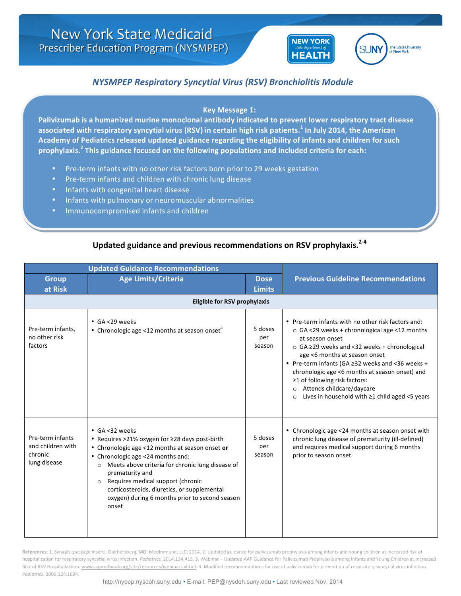



## *NYSMPEP Respiratory Syncytial Virus (RSV) Bronchiolitis Module*

## **Key Message 1:**

Palivizumab is a humanized murine monoclonal antibody indicated to prevent lower respiratory tract disease associated with respiratory syncytial virus (RSV) in certain high risk patients.<sup>1</sup> In July 2014, the American Academy of Pediatrics released updated guidance regarding the eligibility of infants and children for such prophylaxis.<sup>2</sup> This guidance focused on the following populations and included criteria for each:

- Pre-term infants with no other risk factors born prior to 29 weeks gestation
- Pre-term infants and children with chronic lung disease
- Infants with congenital heart disease
- Infants with pulmonary or neuromuscular abnormalities
- Immunocompromised infants and children

## Updated guidance and previous recommendations on RSV prophylaxis.<sup>2-4</sup>

| <b>Updated Guidance Recommendations</b>                          |                                                                                                                                                                                                                                                                                                                                                                                                      |                              |                                                                                                                                                                                                                                                                                                                                                                                                                                                           |  |  |
|------------------------------------------------------------------|------------------------------------------------------------------------------------------------------------------------------------------------------------------------------------------------------------------------------------------------------------------------------------------------------------------------------------------------------------------------------------------------------|------------------------------|-----------------------------------------------------------------------------------------------------------------------------------------------------------------------------------------------------------------------------------------------------------------------------------------------------------------------------------------------------------------------------------------------------------------------------------------------------------|--|--|
| <b>Group</b><br>at Risk                                          | <b>Age Limits/Criteria</b>                                                                                                                                                                                                                                                                                                                                                                           | <b>Dose</b><br><b>Limits</b> | <b>Previous Guideline Recommendations</b>                                                                                                                                                                                                                                                                                                                                                                                                                 |  |  |
| <b>Eligible for RSV prophylaxis</b>                              |                                                                                                                                                                                                                                                                                                                                                                                                      |                              |                                                                                                                                                                                                                                                                                                                                                                                                                                                           |  |  |
| Pre-term infants,<br>no other risk<br>factors                    | $\cdot$ GA <29 weeks<br>• Chronologic age <12 months at season onset <sup>a</sup>                                                                                                                                                                                                                                                                                                                    | 5 doses<br>per<br>season     | • Pre-term infants with no other risk factors and:<br>o GA <29 weeks + chronological age <12 months<br>at season onset<br>○ GA ≥29 weeks and <32 weeks + chronological<br>age <6 months at season onset<br>. Pre-term infants (GA ≥32 weeks and <36 weeks +<br>chronologic age <6 months at season onset) and<br>≥1 of following risk factors:<br>Attends childcare/daycare<br>$\circ$<br>Lives in household with $\geq$ 1 child aged <5 years<br>$\circ$ |  |  |
| Pre-term infants<br>and children with<br>chronic<br>lung disease | • GA <32 weeks<br>• Requires >21% oxygen for ≥28 days post-birth<br>• Chronologic age <12 months at season onset or<br>• Chronologic age <24 months and:<br>Meets above criteria for chronic lung disease of<br>$\circ$<br>prematurity and<br>Requires medical support (chronic<br>$\circ$<br>corticosteroids, diuretics, or supplemental<br>oxygen) during 6 months prior to second season<br>onset | 5 doses<br>per<br>season     | • Chronologic age <24 months at season onset with<br>chronic lung disease of prematurity (ill-defined)<br>and requires medical support during 6 months<br>prior to season onset                                                                                                                                                                                                                                                                           |  |  |

References: 1. Synagis [package insert]. Gaithersburg, MD: MedImmune, LLC; 2014. 2. Updated guidance for palivizumab prophylaxis among infants and young children at increased risk of hospitalization for respiratory syncytial virus infection. Pediatrics. 2014;134:415. 3. Webinar - Updated AAP Guidance for Palivizumab Prophylaxis among Infants and Young Children at Increased Risk of RSV Hospitalization. www.aapredbook.org/site/resources/webinars.xhtml. 4. Modified recommendations for use of palivizumab for prevention of respiratory syncytial virus infection. *Pediatrics*. 2009;124:1694.